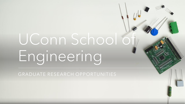# UConn School of Engineering

GRADUATE RESEARCH OPPORTUNITIES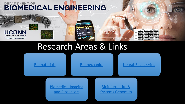### DEPARTMENT OF **BIOMEDICAL ENGINEERING**

UCONN

**SCHOOL OF ENGINEERING** 

**BIOMEDICAL ENGINEERING** 

### Research Areas & Links

CALIBRATE NOW

**BANKER** 

殿

**JEE CALIB. OF** 

10101010

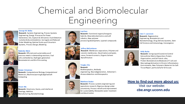# Chemical and Biomolecular Engineering

**Research:** Functional organic/inorganic

### **George M. Bollas**

**Research:** Systems Engineering, Process Systems Engineering, Energy Processes for Power Generation,  $CO<sub>2</sub>$  Capture & Utilization, Fault Detection Isolation & Accommodation, Surrogate and Reduced Order Modeling,Optimal Scale-up of Uncertain Systems, Process Design, Modeling



### **Radenka Maric**

**Research:** Efficient and sustainable use of precious metals in demanding reactions, Fuel cells and batteries, Hydrogen generation Nanomaterials and thin film coating



#### **Ranjan Srivastava**

**Anson Ma**

**Research:** Computational Biology,Computational Materials, Machine Learning & Applied Soft Computing



**Research:** Emulsions, foams, and interfacial rheology, Additive Manufacturing, Nanotechnology









### **Matthew Stuber Research:** Process systems engineering and operations research, Rigorous design under uncertainty, Process retrofit and improvement for sustainability, Renewable water treatment and desalination



**Cato T. Laurencin**

**Research:** Regenerative Engineering, Biomaterials and Nanotechnology, Drug Delivery Systems, Stem Cell Science and Immunology, Convergence

#### **Kelly Burke**



**How to find out more about us:**

Visit our website: **cbe.engr.uconn.edu**

### hybrids,Wearable electronics and soft robotics, New polymer processing development, Layered compounds

### **Jeffrey McCutcheon**

**Research:** Membrane separations, Polymer and ceramic membranes, Desalination and water, reuse, Forward osmosis, Organic Solvent Nanofiltration

### **Yongku Cho**

**Luyi Sun:**

**Research** Biotherapeutics, Antibody engineering, Neurodegeneration, Alzheimer's

disease detection and therapeutics

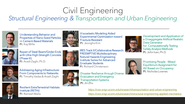### Civil Engineering *Structural Engineering & Transportation and Urban Engineering*

Fracture-Resistant PI: Jeongho Kim

Viscoelastic Modeling Aided

Experimental Optimization toward



Understanding Behavior and Properties of Nano-Sized Particles in Cement-Based Materials PI: Kay Wille

Repair of Steel Beam/Girder Ends with Ultra High-Strength Concrete

(Phase III)

PI: Arash Zaghi, Ph.D.





Addressing Aging Infrastructure: From Components to Networks PI: Timothy Vadas & Arash Zaghi



Resilient ExtraTerrestrial Habitats Institute (RETHi) PI: Ramesh Malla

IRES Track II/Collaborative Research: PREEMPTIVE Multidisciplinary Natural Hazards Engineering Institute Series for Advanced Graduate Students PI: Richard Christenson



Disaster Resilience through Diverse Evacuation and Emergency Transportation Systems PI: Jin Zhu



Development and Application of a Disaggregate Artificial Realistic Data Generator for Computationally Testing Safety Analysis Methods PI: John Ivan, Ph.D.



Prioritizing People - Mixed Equilibrium Assignment for AV Based on Occupancy PI: Nicholas Lownes

<https://cee.engr.uconn.edu/research/structural-engineering-applied-mechanics> <https://cee.engr.uconn.edu/research/transportation-and-urban-engineering>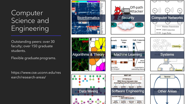### Computer Science and Engineering

Outstanding peers: over 30 faculty; over 150 graduate students.

Flexible graduate programs.

https://www.cse.uconn.edu/res earch/research-areas/



![](_page_4_Figure_5.jpeg)

![](_page_4_Figure_6.jpeg)

![](_page_4_Figure_7.jpeg)

![](_page_4_Figure_8.jpeg)

![](_page_4_Figure_9.jpeg)

![](_page_4_Figure_10.jpeg)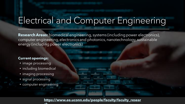## Electrical and Computer Engineering

**Research Areas:** biomedical engineering, systems (including power electronics), computer engineering, electronics and photonics, nanotechnology, sustainable energy (including power electronics)

### **Current openings:**

- image processing
- including biomedical
- imaging processing
- signal processing
- computer engineering

### **[https://www.ee.uconn.edu/people/faculty/faculty\\_resear](https://nam10.safelinks.protection.outlook.com/?url=https%3A%2F%2Fwww.ee.uconn.edu%2Fpeople%2Ffaculty%2Ffaculty_research&data=04%7C01%7Caida%40uconn.edu%7C54a521208759439d1bd708d898768cd0%7C17f1a87e2a254eaab9df9d439034b080%7C0%7C0%7C637426982214762431%7CUnknown%7CTWFpbGZsb3d8eyJWIjoiMC4wLjAwMDAiLCJQIjoiV2luMzIiLCJBTiI6Ik1haWwiLCJXVCI6Mn0%3D%7C1000&sdata=EyqSL068zQdxFMCJVk5jpoEs3G8Qf15BFawLqVTub4s%3D&reserved=0) ch**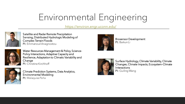# Environmental Engineering

<https://environ.engr.uconn.edu/>

![](_page_6_Picture_2.jpeg)

Satellite and Radar Remote Precipitation Sensing, Distributed Hydrologic Modeling of Complex Terrain Floods PI: EmmanouilAnagnostou

![](_page_6_Picture_4.jpeg)

Water Resources Management & Policy, Science-Policy Interactions, Adaptive Capacity and Resilience, Adaptation to Climatic Variability and Change PI: Christine Kirchhoff

![](_page_6_Picture_6.jpeg)

Climate Prediction Systems, Data Analytics, Environmental Modeling PI: Malaquías Peña

![](_page_6_Picture_8.jpeg)

Biosensor Development PI: BaikunLi

![](_page_6_Picture_10.jpeg)

Surface Hydrology, Climate Variability, Climate Changes, Climate Impacts, Ecosystem-Climate **Interactions** PI: Guiling Wang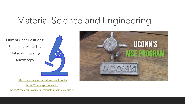# Material Science and Engineering

# **Current Open Positions:** Functional Materials Materials modeling **Microscopy**

<https://mse.engr.uconn.edu/research-topics> <https://mse.engr.uconn.edu/>

<https://mse.engr.uconn.edu/graduate-program-admission>

![](_page_7_Picture_4.jpeg)